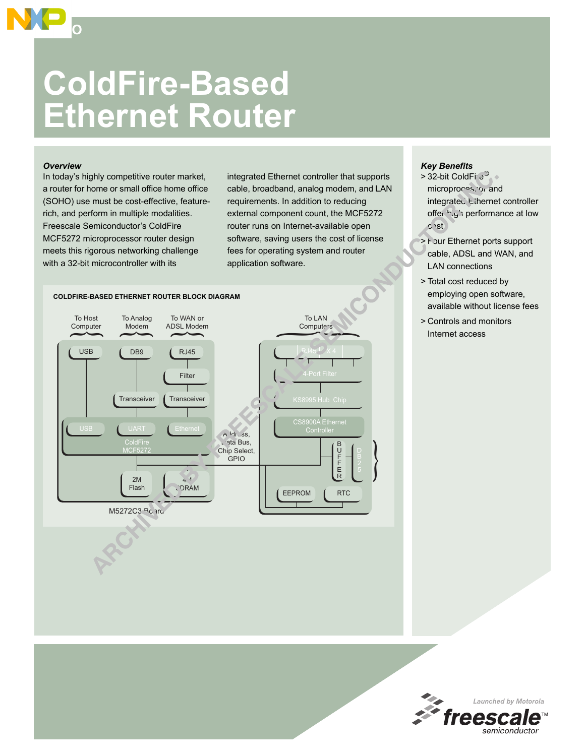# **ColdFire-Based Ethernet Router**

### *Overview*

**SOHO**

In today's highly competitive router market, a router for home or small office home office (SOHO) use must be cost-effective, featurerich, and perform in multiple modalities. Freescale Semiconductor's ColdFire MCF5272 microprocessor router design meets this rigorous networking challenge with a 32-bit microcontroller with its

integrated Ethernet controller that supports cable, broadband, analog modem, and LAN requirements. In addition to reducing external component count, the MCF5272 router runs on Internet-available open software, saving users the cost of license fees for operating system and router application software.



## *Key Benefits*

- $>$  32-bit ColdFire<sup>3</sup> microprocessor and integrated Ethernet controller offer high performance at low cost
- > Four Ethernet ports support cable, ADSL and WAN, and LAN connections
- > Total cost reduced by employing open software, available without license fees
- > Controls and monitors Internet access

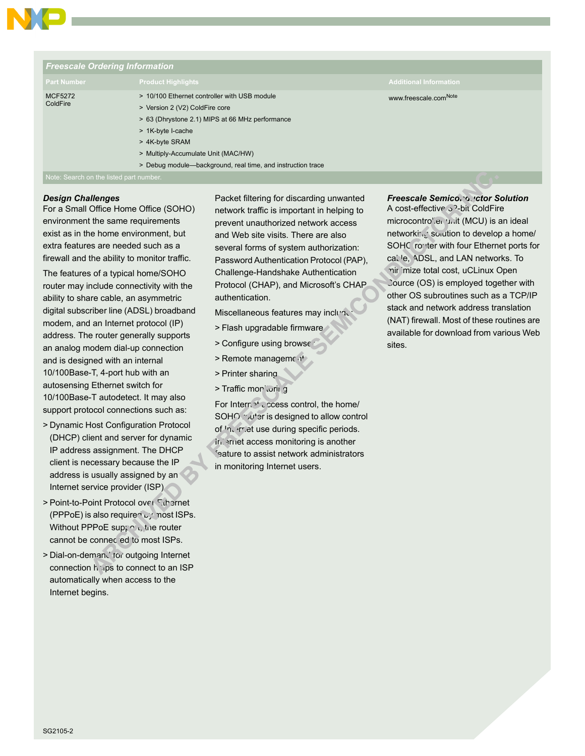

| <b>Freescale Ordering Information</b> |                                                                                                                                                                                                                                                                                |                                   |  |  |  |
|---------------------------------------|--------------------------------------------------------------------------------------------------------------------------------------------------------------------------------------------------------------------------------------------------------------------------------|-----------------------------------|--|--|--|
| <b>Part Number</b>                    | <b>Product Highlights</b>                                                                                                                                                                                                                                                      | <b>Additional Information</b>     |  |  |  |
| <b>MCF5272</b><br>ColdFire            | > 10/100 Ethernet controller with USB module<br>> Version 2 (V2) ColdFire core<br>> 63 (Dhrystone 2.1) MIPS at 66 MHz performance<br>> 1K-byte I-cache<br>> 4K-byte SRAM<br>> Multiply-Accumulate Unit (MAC/HW)<br>> Debug module-background, real time, and instruction trace | www.freescale.com <sup>Note</sup> |  |  |  |

Note: Search on the listed part number.

#### *Design Challenges*

For a Small Office Home Office (SOHO) environment the same requirements exist as in the home environment, but extra features are needed such as a firewall and the ability to monitor traffic.

The features of a typical home/SOHO router may include connectivity with the ability to share cable, an asymmetric digital subscriber line (ADSL) broadband modem, and an Internet protocol (IP) address. The router generally supports an analog modem dial-up connection and is designed with an internal 10/100Base-T, 4-port hub with an autosensing Ethernet switch for 10/100Base-T autodetect. It may also support protocol connections such as:

- > Dynamic Host Configuration Protocol (DHCP) client and server for dynamic IP address assignment. The DHCP client is necessary because the IP address is usually assigned by an Internet service provider (ISP).
- > Point-to-Point Protocol over Ethernet (PPPoE) is also required  $\mathfrak{b}_j$  most ISPs. Without PPPoE support, the router cannot be connected to most ISPs.
- > Dial-on-demand for outgoing Internet connection helps to connect to an ISP automatically when access to the Internet begins.

Packet filtering for discarding unwanted network traffic is important in helping to prevent unauthorized network access and Web site visits. There are also several forms of system authorization: Password Authentication Protocol (PAP), Challenge-Handshake Authentication Protocol (CHAP), and Microsoft's CHAP authentication.

- Miscellaneous features may inclun
- > Flash upgradable firmware
- > Configure using browser
- > Remote management
- > Printer sharing
- > Traffic monitoring

For Intern<sup>ot</sup> ccess control, the home/ SOHO router is designed to allow control of <sup>I</sup>nternet use during specific periods. Internet access monitoring is another feature to assist network administrators in monitoring Internet users.

*Freescale Semiconductor Solution* A cost-effective 3<sup>2</sup>-bit ColdFire microcontroller unit (MCU) is an ideal networking solution to develop a home/ SOHC router with four Ethernet ports for calle, ADSL, and LAN networks. To mir imize total cost, uCLinux Open Cource (OS) is employed together with other OS subroutines such as a TCP/IP stack and network address translation (NAT) firewall. Most of these routines are available for download from various Web sites.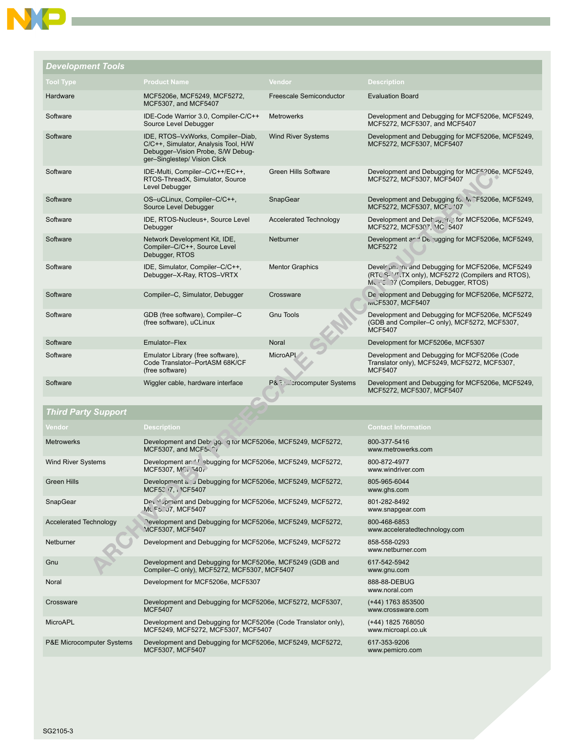| <b>Development Tools</b> |                                                                                                                                                |                             |                                                                                                                                                    |
|--------------------------|------------------------------------------------------------------------------------------------------------------------------------------------|-----------------------------|----------------------------------------------------------------------------------------------------------------------------------------------------|
| <b>Tool Type</b>         | <b>Product Name</b>                                                                                                                            | Vendor                      | <b>Description</b>                                                                                                                                 |
| Hardware                 | MCF5206e, MCF5249, MCF5272,<br>MCF5307, and MCF5407                                                                                            | Freescale Semiconductor     | <b>Evaluation Board</b>                                                                                                                            |
| Software                 | IDE-Code Warrior 3.0, Compiler-C/C++<br>Source Level Debugger                                                                                  | <b>Metrowerks</b>           | Development and Debugging for MCF5206e, MCF5249,<br>MCF5272, MCF5307, and MCF5407                                                                  |
| Software                 | IDE, RTOS-VxWorks, Compiler-Diab,<br>C/C++, Simulator, Analysis Tool, H/W<br>Debugger-Vision Probe, S/W Debug-<br>ger-Singlestep/ Vision Click | <b>Wind River Systems</b>   | Development and Debugging for MCF5206e, MCF5249,<br>MCF5272, MCF5307, MCF5407                                                                      |
| Software                 | IDE-Multi, Compiler-C/C++/EC++,<br>RTOS-ThreadX, Simulator, Source<br>Level Debugger                                                           | <b>Green Hills Software</b> | Development and Debugging for MCF <sup>5206</sup> e, MCF5249,<br>MCF5272, MCF5307, MCF5407                                                         |
| Software                 | OS-uCLinux, Compiler-C/C++,<br>Source Level Debugger                                                                                           | SnapGear                    | Development and Debugging fo. M CF5206e, MCF5249,<br>MCF5272, MCF5307, MCFJ '07                                                                    |
| Software                 | IDE, RTOS-Nucleus+, Source Level<br>Debugger                                                                                                   | Accelerated Technology      | Development and Dehay in for MCF5206e, MCF5249,<br>MCF5272, MCF5307, MC 5407                                                                       |
| Software                 | Network Development Kit, IDE,<br>Compiler-C/C++, Source Level<br>Debugger, RTOS                                                                | Netburner                   | Development and Decugaing for MCF5206e, MCF5249,<br><b>MCF5272</b>                                                                                 |
| Software                 | IDE, Simulator, Compiler-C/C++,<br>Debugger-X-Ray, RTOS-VRTX                                                                                   | <b>Mentor Graphics</b>      | Develrion, in and Debugging for MCF5206e, MCF5249<br>(RTC S- '/', TX only), MCF5272 (Compilers and RTOS),<br>Murricult (Compilers, Debugger, RTOS) |
| Software                 | Compiler-C, Simulator, Debugger                                                                                                                | Crossware                   | De relopment and Debugging for MCF5206e, MCF5272,<br><b>IVICF5307, MCF5407</b>                                                                     |
| Software                 | GDB (free software), Compiler-C<br>(free software), uCLinux                                                                                    | <b>Gnu Tools</b>            | Development and Debugging for MCF5206e, MCF5249<br>(GDB and Compiler-C only), MCF5272, MCF5307,<br><b>MCF5407</b>                                  |
| Software                 | Emulator-Flex                                                                                                                                  | Noral                       | Development for MCF5206e, MCF5307                                                                                                                  |
| Software                 | Emulator Library (free software),<br>Code Translator-PortASM 68K/CF<br>(free software)                                                         | MicroAPL                    | Development and Debugging for MCF5206e (Code<br>Translator only), MCF5249, MCF5272, MCF5307,<br><b>MCF5407</b>                                     |
| Software                 | Wiggler cable, hardware interface                                                                                                              | P& Entertainment Systems    | Development and Debugging for MCF5206e, MCF5249,<br>MCF5272, MCF5307, MCF5407                                                                      |

# *Third Party Support*

| Vendor                               | <b>Description</b>                                                                                      | <b>Contact Information</b>                    |
|--------------------------------------|---------------------------------------------------------------------------------------------------------|-----------------------------------------------|
| <b>Metrowerks</b>                    | Development and Deb <sup>,</sup> gq. q tor MCF5206e, MCF5249, MCF5272,<br>MCF5307, and MCF541           | 800-377-5416<br>www.metrowerks.com            |
| <b>Wind River Systems</b>            | Development an <sup>-1</sup> ebugging for MCF5206e, MCF5249, MCF5272,<br>MCF5307, MCr 540r              | 800-872-4977<br>www.windriver.com             |
| <b>Green Hills</b>                   | Development a. u Debugging for MCF5206e, MCF5249, MCF5272,<br>MCF52 7. 1CF5407                          | 805-965-6044<br>www.ghs.com                   |
| SnapGear                             | Devilopment and Debugging for MCF5206e, MCF5249, MCF5272,<br>MC F5. J7. MCF5407                         | 801-282-8492<br>www.snapgear.com              |
| <b>Accelerated Technology</b>        | Oevelopment and Debugging for MCF5206e, MCF5249, MCF5272,<br>MCF5307, MCF5407                           | 800-468-6853<br>www.acceleratedtechnology.com |
| Netburner                            | Development and Debugging for MCF5206e, MCF5249, MCF5272                                                | 858-558-0293<br>www.netburner.com             |
| Gnu                                  | Development and Debugging for MCF5206e, MCF5249 (GDB and<br>Compiler-C only), MCF5272, MCF5307, MCF5407 | 617-542-5942<br>www.gnu.com                   |
| Noral                                | Development for MCF5206e, MCF5307                                                                       | 888-88-DEBUG<br>www.noral.com                 |
| Crossware                            | Development and Debugging for MCF5206e, MCF5272, MCF5307,<br><b>MCF5407</b>                             | (+44) 1763 853500<br>www.crossware.com        |
| <b>MicroAPL</b>                      | Development and Debugging for MCF5206e (Code Translator only),<br>MCF5249, MCF5272, MCF5307, MCF5407    | (+44) 1825 768050<br>www.microapl.co.uk       |
| <b>P&amp;E Microcomputer Systems</b> | Development and Debugging for MCF5206e, MCF5249, MCF5272,<br>MCF5307, MCF5407                           | 617-353-9206<br>www.pemicro.com               |

 $\overline{\phantom{a}}$